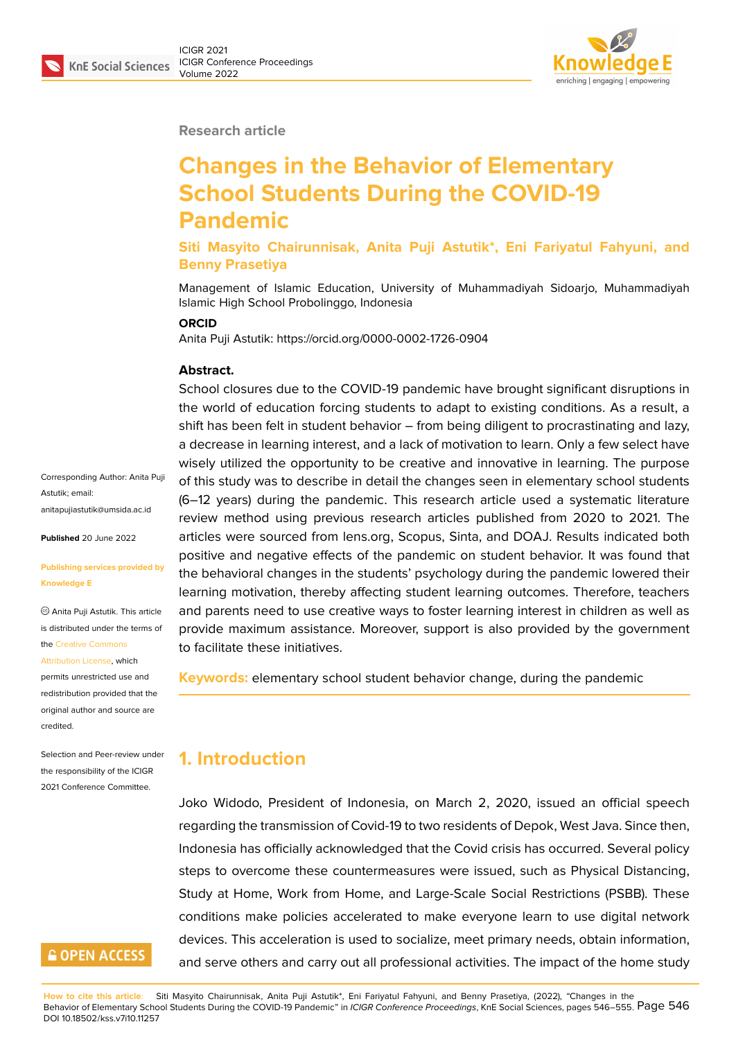

**Research article**

# **Changes in the Behavior of Elementary School Students During the COVID-19 Pandemic**

**Siti Masyito Chairunnisak, Anita Puji Astutik\*, Eni Fariyatul Fahyuni, and Benny Prasetiya**

Management of Islamic Education, University of Muhammadiyah Sidoarjo, Muhammadiyah Islamic High School Probolinggo, Indonesia

#### **ORCID**

Anita Puji Astutik: https://orcid.org/0000-0002-1726-0904

#### **Abstract.**

School closures due to the COVID-19 pandemic have brought significant disruptions in the world of education forcing students to adapt to existing conditions. As a result, a shift has been felt in student behavior – from being diligent to procrastinating and lazy, a decrease in learning interest, and a lack of motivation to learn. Only a few select have wisely utilized the opportunity to be creative and innovative in learning. The purpose of this study was to describe in detail the changes seen in elementary school students (6–12 years) during the pandemic. This research article used a systematic literature review method using previous research articles published from 2020 to 2021. The articles were sourced from lens.org, Scopus, Sinta, and DOAJ. Results indicated both positive and negative effects of the pandemic on student behavior. It was found that the behavioral changes in the students' psychology during the pandemic lowered their learning motivation, thereby affecting student learning outcomes. Therefore, teachers and parents need to use creative ways to foster learning interest in children as well as provide maximum assistance. Moreover, support is also provided by the government to facilitate these initiatives.

**Keywords:** elementary school student behavior change, during the pandemic

### **1. Introduction**

Joko Widodo, President of Indonesia, on March 2, 2020, issued an official speech regarding the transmission of Covid-19 to two residents of Depok, West Java. Since then, Indonesia has officially acknowledged that the Covid crisis has occurred. Several policy steps to overcome these countermeasures were issued, such as Physical Distancing, Study at Home, Work from Home, and Large-Scale Social Restrictions (PSBB). These conditions make policies accelerated to make everyone learn to use digital network devices. This acceleration is used to socialize, meet primary needs, obtain information, and serve others and carry out all professional activities. The impact of the home study

**How to cite this article**: Siti Masyito Chairunnisak, Anita Puji Astutik\*, Eni Fariyatul Fahyuni, and Benny Prasetiya, (2022), "Changes in the Behavior of Elementary School Students During the COVID-19 Pandemic" in *ICIGR Conference Proceedings*, KnE Social Sciences, pages 546–555. Page 546 DOI 10.18502/kss.v7i10.11257

Corresponding Author: Anita Puji Astutik; email: anitapujiastutik@umsida.ac.id

**Published** 20 June 2022

#### **[Publishing services provided](mailto:anitapujiastutik@umsida.ac.id) by Knowledge E**

Anita Puji Astutik. This article is distributed under the terms of the Creative Commons

Attribution License, which

permits unrestricted use and redistribution provided that the orig[inal author and sou](https://creativecommons.org/licenses/by/4.0/)rce are [credited.](https://creativecommons.org/licenses/by/4.0/)

Selection and Peer-review under the responsibility of the ICIGR 2021 Conference Committee.

## **GOPEN ACCESS**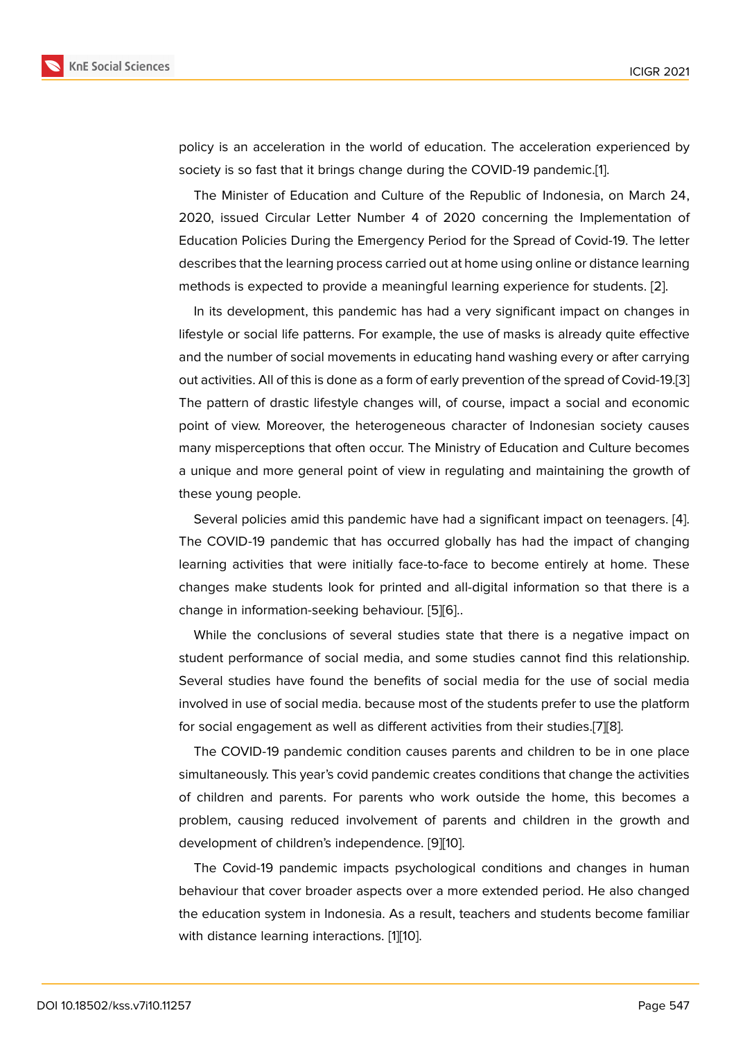policy is an acceleration in the world of education. The acceleration experienced by society is so fast that it brings change during the COVID-19 pandemic.[1].

The Minister of Education and Culture of the Republic of Indonesia, on March 24, 2020, issued Circular Letter Number 4 of 2020 concerning the Implementation of Education Policies During the Emergency Period for the Spread of Cov[id](#page-6-0)-19. The letter describes that the learning process carried out at home using online or distance learning methods is expected to provide a meaningful learning experience for students. [2].

In its development, this pandemic has had a very significant impact on changes in lifestyle or social life patterns. For example, the use of masks is already quite effective and the number of social movements in educating hand washing every or after c[arr](#page-6-1)ying out activities. All of this is done as a form of early prevention of the spread of Covid-19.[3] The pattern of drastic lifestyle changes will, of course, impact a social and economic point of view. Moreover, the heterogeneous character of Indonesian society causes many misperceptions that often occur. The Ministry of Education and Culture becom[es](#page-6-2) a unique and more general point of view in regulating and maintaining the growth of these young people.

Several policies amid this pandemic have had a significant impact on teenagers. [4]. The COVID-19 pandemic that has occurred globally has had the impact of changing learning activities that were initially face-to-face to become entirely at home. These changes make students look for printed and all-digital information so that there i[s a](#page-6-3) change in information-seeking behaviour. [5][6]..

While the conclusions of several studies state that there is a negative impact on student performance of social media, and some studies cannot find this relationship. Several studies have found the benefits [of](#page-6-4) [so](#page-6-5)cial media for the use of social media involved in use of social media. because most of the students prefer to use the platform for social engagement as well as different activities from their studies.[7][8].

The COVID-19 pandemic condition causes parents and children to be in one place simultaneously. This year's covid pandemic creates conditions that change the activities of children and parents. For parents who work outside the home, [th](#page-7-0)[is](#page-7-1) becomes a problem, causing reduced involvement of parents and children in the growth and development of children's independence. [9][10].

The Covid-19 pandemic impacts psychological conditions and changes in human behaviour that cover broader aspects over a more extended period. He also changed the education system in Indonesia. As a r[esu](#page-7-2)[lt,](#page-7-3) teachers and students become familiar with distance learning interactions. [1][10].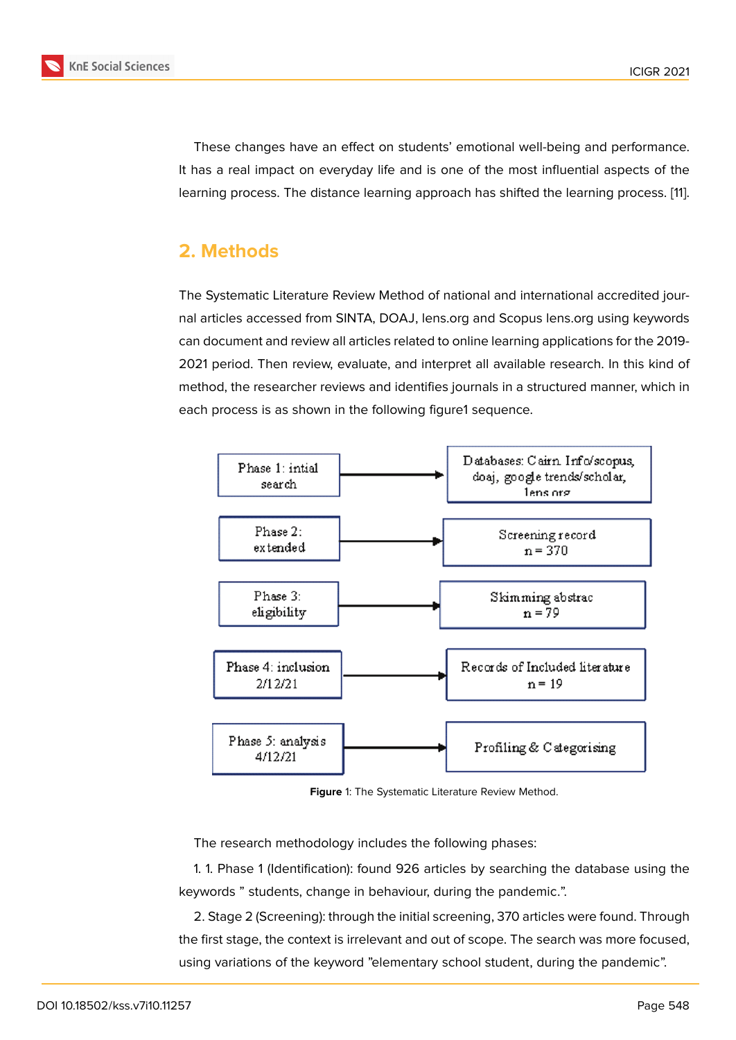These changes have an effect on students' emotional well-being and performance. It has a real impact on everyday life and is one of the most influential aspects of the learning process. The distance learning approach has shifted the learning process. [11].

# **2. Methods**

The Systematic Literature Review Method of national and international accredited journal articles accessed from SINTA, DOAJ, lens.org and Scopus lens.org using keywords can document and review all articles related to online learning applications for the 2019- 2021 period. Then review, evaluate, and interpret all available research. In this kind of method, the researcher reviews and identifies journals in a structured manner, which in each process is as shown in the following figure1 sequence.



**Figure** 1: The Systematic Literature Review Method.

The research methodology includes the following phases:

1. 1. Phase 1 (Identification): found 926 articles by searching the database using the keywords " students, change in behaviour, during the pandemic.".

2. Stage 2 (Screening): through the initial screening, 370 articles were found. Through the first stage, the context is irrelevant and out of scope. The search was more focused, using variations of the keyword "elementary school student, during the pandemic".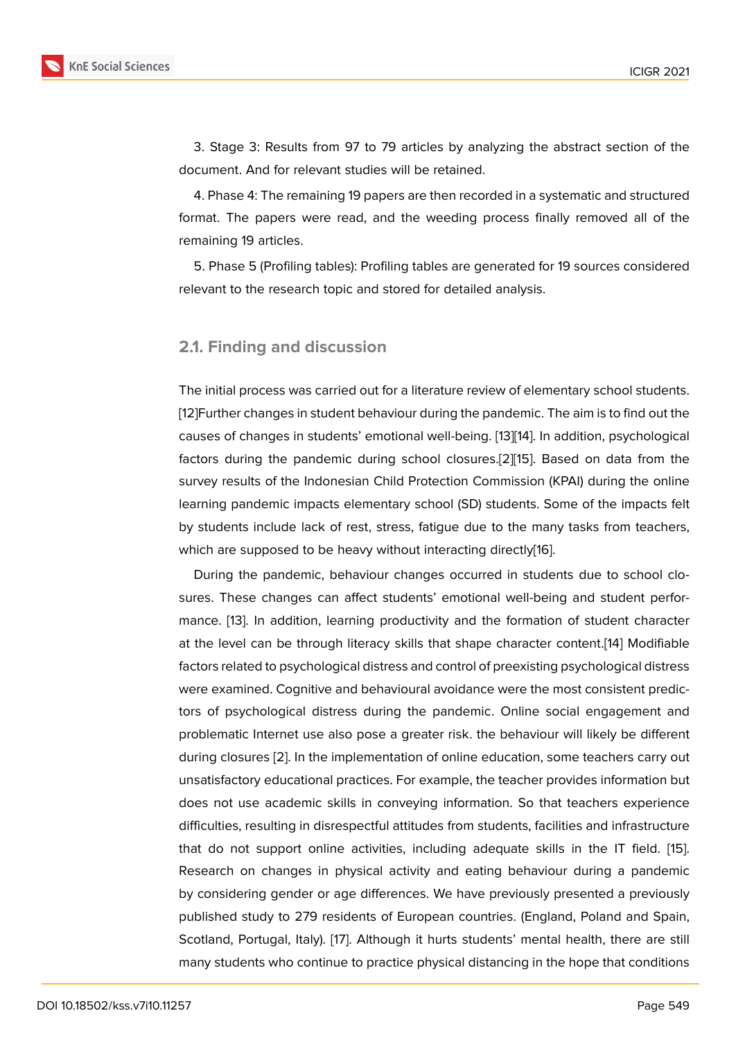3. Stage 3: Results from 97 to 79 articles by analyzing the abstract section of the document. And for relevant studies will be retained.

4. Phase 4: The remaining 19 papers are then recorded in a systematic and structured format. The papers were read, and the weeding process finally removed all of the remaining 19 articles.

5. Phase 5 (Profiling tables): Profiling tables are generated for 19 sources considered relevant to the research topic and stored for detailed analysis.

#### **2.1. Finding and discussion**

The initial process was carried out for a literature review of elementary school students. [12]Further changes in student behaviour during the pandemic. The aim is to find out the causes of changes in students' emotional well-being. [13][14]. In addition, psychological factors during the pandemic during school closures.[2][15]. Based on data from the [sur](#page-7-4)vey results of the Indonesian Child Protection Commission (KPAI) during the online learning pandemic impacts elementary school (SD) st[ud](#page-7-5)[ent](#page-7-6)s. Some of the impacts felt by students include lack of rest, stress, fatigue due t[o t](#page-6-1)[he](#page-7-7) many tasks from teachers, which are supposed to be heavy without interacting directly[16].

During the pandemic, behaviour changes occurred in students due to school closures. These changes can affect students' emotional well-being and student performance. [13]. In addition, learning productivity and the form[atio](#page-7-8)n of student character at the level can be through literacy skills that shape character content.[14] Modifiable factors related to psychological distress and control of preexisting psychological distress were ex[am](#page-7-5)ined. Cognitive and behavioural avoidance were the most consistent predictors of psychological distress during the pandemic. Online social en[gag](#page-7-6)ement and problematic Internet use also pose a greater risk. the behaviour will likely be different during closures [2]. In the implementation of online education, some teachers carry out unsatisfactory educational practices. For example, the teacher provides information but does not use academic skills in conveying information. So that teachers experience difficulties, resul[tin](#page-6-1)g in disrespectful attitudes from students, facilities and infrastructure that do not support online activities, including adequate skills in the IT field. [15]. Research on changes in physical activity and eating behaviour during a pandemic by considering gender or age differences. We have previously presented a previously published study to 279 residents of European countries. (England, Poland and Sp[ain](#page-7-7), Scotland, Portugal, Italy). [17]. Although it hurts students' mental health, there are still many students who continue to practice physical distancing in the hope that conditions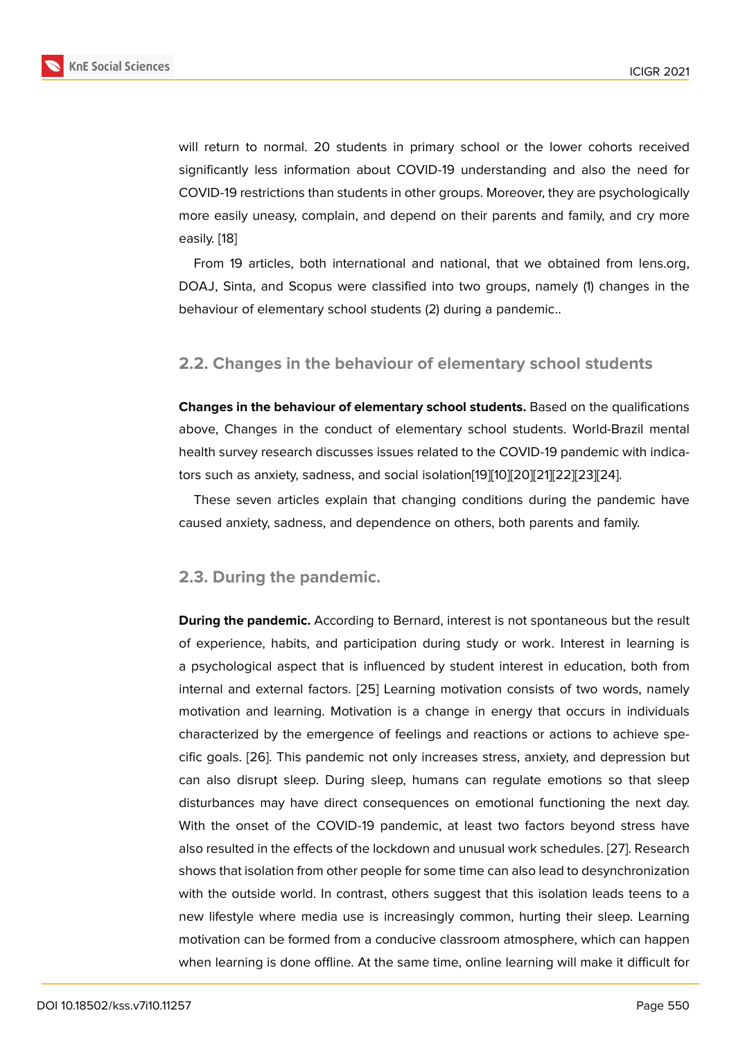will return to normal. 20 students in primary school or the lower cohorts received significantly less information about COVID-19 understanding and also the need for COVID-19 restrictions than students in other groups. Moreover, they are psychologically more easily uneasy, complain, and depend on their parents and family, and cry more easily. [18]

From 19 articles, both international and national, that we obtained from lens.org, DOAJ, Sinta, and Scopus were classified into two groups, namely (1) changes in the behavi[ou](#page-8-0)r of elementary school students (2) during a pandemic..

### **2.2. Changes in the behaviour of elementary school students**

**Changes in the behaviour of elementary school students.** Based on the qualifications above, Changes in the conduct of elementary school students. World-Brazil mental health survey research discusses issues related to the COVID-19 pandemic with indicators such as anxiety, sadness, and social isolation[19][10][20][21][22][23][24].

These seven articles explain that changing conditions during the pandemic have caused anxiety, sadness, and dependence on others, both parents and family.

#### **2.3. During the pandemic.**

**During the pandemic.** According to Bernard, interest is not spontaneous but the result of experience, habits, and participation during study or work. Interest in learning is a psychological aspect that is influenced by student interest in education, both from internal and external factors. [25] Learning motivation consists of two words, namely motivation and learning. Motivation is a change in energy that occurs in individuals characterized by the emergence of feelings and reactions or actions to achieve specific goals. [26]. This pandemi[c n](#page-8-1)ot only increases stress, anxiety, and depression but can also disrupt sleep. During sleep, humans can regulate emotions so that sleep disturbances may have direct consequences on emotional functioning the next day. With the o[nset](#page-8-2) of the COVID-19 pandemic, at least two factors beyond stress have also resulted in the effects of the lockdown and unusual work schedules. [27]. Research shows that isolation from other people for some time can also lead to desynchronization with the outside world. In contrast, others suggest that this isolation leads teens to a new lifestyle where media use is increasingly common, hurting their sl[eep](#page-8-3). Learning motivation can be formed from a conducive classroom atmosphere, which can happen when learning is done offline. At the same time, online learning will make it difficult for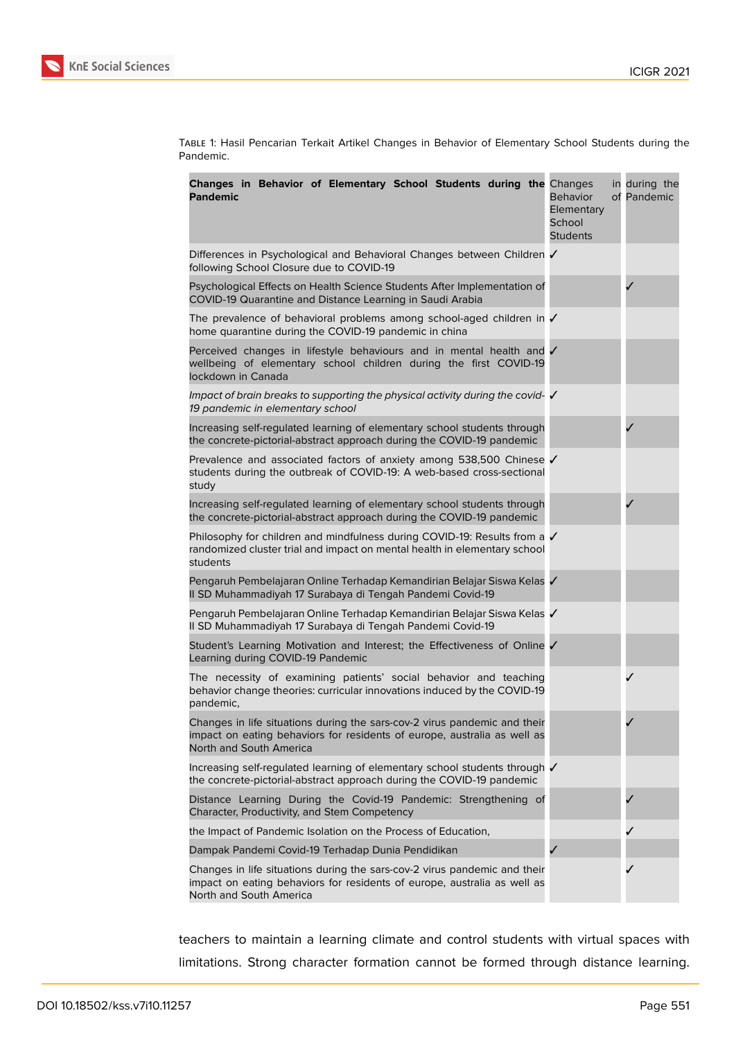

Table 1: Hasil Pencarian Terkait Artikel Changes in Behavior of Elementary School Students during the Pandemic.

| Changes in Behavior of Elementary School Students during the Changes<br><b>Pandemic</b>                                                                                          | <b>Behavior</b><br>Elementary<br>School<br><b>Students</b> | in during the<br>of Pandemic |
|----------------------------------------------------------------------------------------------------------------------------------------------------------------------------------|------------------------------------------------------------|------------------------------|
| Differences in Psychological and Behavioral Changes between Children ✔<br>following School Closure due to COVID-19                                                               |                                                            |                              |
| Psychological Effects on Health Science Students After Implementation of<br>COVID-19 Quarantine and Distance Learning in Saudi Arabia                                            |                                                            |                              |
| The prevalence of behavioral problems among school-aged children in $\checkmark$<br>home quarantine during the COVID-19 pandemic in china                                        |                                                            |                              |
| Perceived changes in lifestyle behaviours and in mental health and $\checkmark$<br>wellbeing of elementary school children during the first COVID-19<br>lockdown in Canada       |                                                            |                              |
| Impact of brain breaks to supporting the physical activity during the covid- V<br>19 pandemic in elementary school                                                               |                                                            |                              |
| Increasing self-regulated learning of elementary school students through<br>the concrete-pictorial-abstract approach during the COVID-19 pandemic                                |                                                            |                              |
| Prevalence and associated factors of anxiety among 538,500 Chinese √<br>students during the outbreak of COVID-19: A web-based cross-sectional<br>study                           |                                                            |                              |
| Increasing self-regulated learning of elementary school students through<br>the concrete-pictorial-abstract approach during the COVID-19 pandemic                                |                                                            |                              |
| Philosophy for children and mindfulness during COVID-19: Results from a √<br>randomized cluster trial and impact on mental health in elementary school<br>students               |                                                            |                              |
| Pengaruh Pembelajaran Online Terhadap Kemandirian Belajar Siswa Kelas V<br>II SD Muhammadiyah 17 Surabaya di Tengah Pandemi Covid-19                                             |                                                            |                              |
| Pengaruh Pembelajaran Online Terhadap Kemandirian Belajar Siswa Kelas<br>Il SD Muhammadiyah 17 Surabaya di Tengah Pandemi Covid-19                                               |                                                            |                              |
| Student's Learning Motivation and Interest; the Effectiveness of Online ✔<br>Learning during COVID-19 Pandemic                                                                   |                                                            |                              |
| The necessity of examining patients' social behavior and teaching<br>behavior change theories: curricular innovations induced by the COVID-19<br>pandemic,                       |                                                            |                              |
| Changes in life situations during the sars-cov-2 virus pandemic and their<br>impact on eating behaviors for residents of europe, australia as well as<br>North and South America |                                                            |                              |
| Increasing self-regulated learning of elementary school students through √<br>the concrete-pictorial-abstract approach during the COVID-19 pandemic                              |                                                            |                              |
| Distance Learning During the Covid-19 Pandemic: Strengthening of<br>Character, Productivity, and Stem Competency                                                                 |                                                            |                              |
| the Impact of Pandemic Isolation on the Process of Education,                                                                                                                    |                                                            |                              |
| Dampak Pandemi Covid-19 Terhadap Dunia Pendidikan                                                                                                                                |                                                            |                              |
| Changes in life situations during the sars-cov-2 virus pandemic and their<br>impact on eating behaviors for residents of europe, australia as well as<br>North and South America |                                                            |                              |

teachers to maintain a learning climate and control students with virtual spaces with limitations. Strong character formation cannot be formed through distance learning.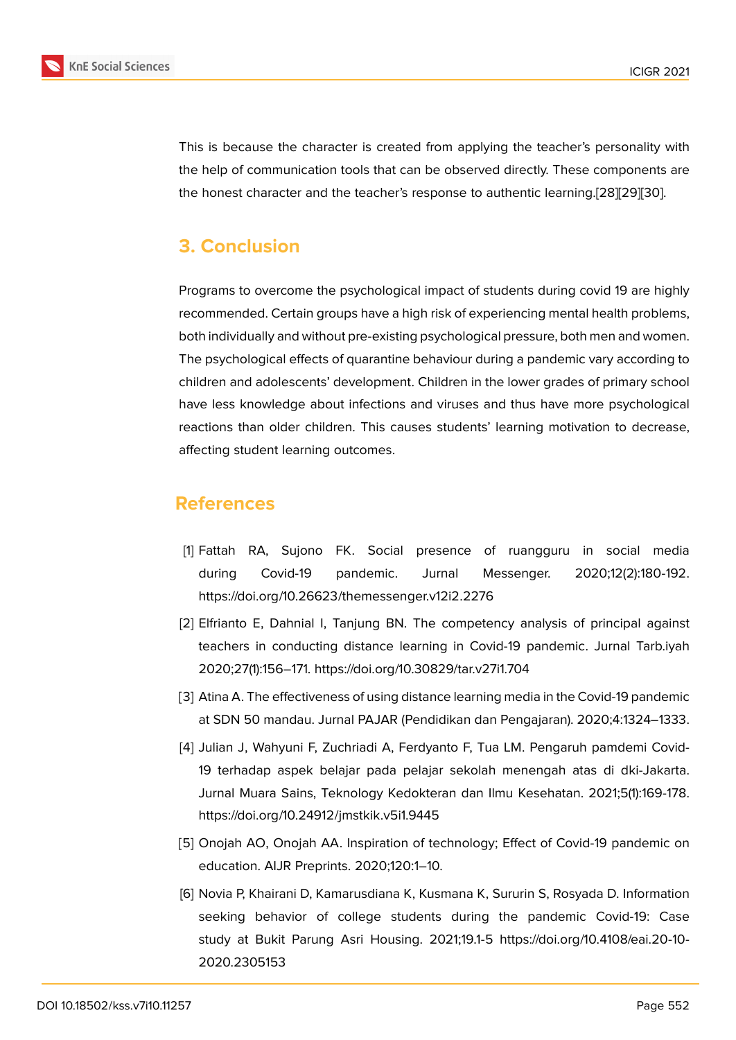This is because the character is created from applying the teacher's personality with the help of communication tools that can be observed directly. These components are the honest character and the teacher's response to authentic learning.[28][29][30].

# **3. Conclusion**

Programs to overcome the psychological impact of students during covid 19 are highly recommended. Certain groups have a high risk of experiencing mental health problems, both individually and without pre-existing psychological pressure, both men and women. The psychological effects of quarantine behaviour during a pandemic vary according to children and adolescents' development. Children in the lower grades of primary school have less knowledge about infections and viruses and thus have more psychological reactions than older children. This causes students' learning motivation to decrease, affecting student learning outcomes.

## **References**

- [1] Fattah RA, Sujono FK. Social presence of ruangguru in social media during Covid-19 pandemic. Jurnal Messenger. 2020;12(2):180-192. https://doi.org/10.26623/themessenger.v12i2.2276
- <span id="page-6-0"></span>[2] Elfrianto E, Dahnial I, Tanjung BN. The competency analysis of principal against teachers in conducting distance learning in Covid-19 pandemic. Jurnal Tarb.iyah 2020;27(1):156–171. https://doi.org/10.30829/tar.v27i1.704
- <span id="page-6-1"></span>[3] Atina A. The effectiveness of using distance learning media in the Covid-19 pandemic at SDN 50 mandau. Jurnal PAJAR (Pendidikan dan Pengajaran). 2020;4:1324–1333.
- <span id="page-6-2"></span>[4] Julian J, Wahyuni F, Zuchriadi A, Ferdyanto F, Tua LM. Pengaruh pamdemi Covid-19 terhadap aspek belajar pada pelajar sekolah menengah atas di dki-Jakarta. Jurnal Muara Sains, Teknology Kedokteran dan Ilmu Kesehatan. 2021;5(1):169-178. https://doi.org/10.24912/jmstkik.v5i1.9445
- <span id="page-6-3"></span>[5] Onojah AO, Onojah AA. Inspiration of technology; Effect of Covid-19 pandemic on education. AIJR Preprints. 2020;120:1–10.
- <span id="page-6-5"></span><span id="page-6-4"></span>[6] Novia P, Khairani D, Kamarusdiana K, Kusmana K, Sururin S, Rosyada D. Information seeking behavior of college students during the pandemic Covid-19: Case study at Bukit Parung Asri Housing. 2021;19.1-5 https://doi.org/10.4108/eai.20-10- 2020.2305153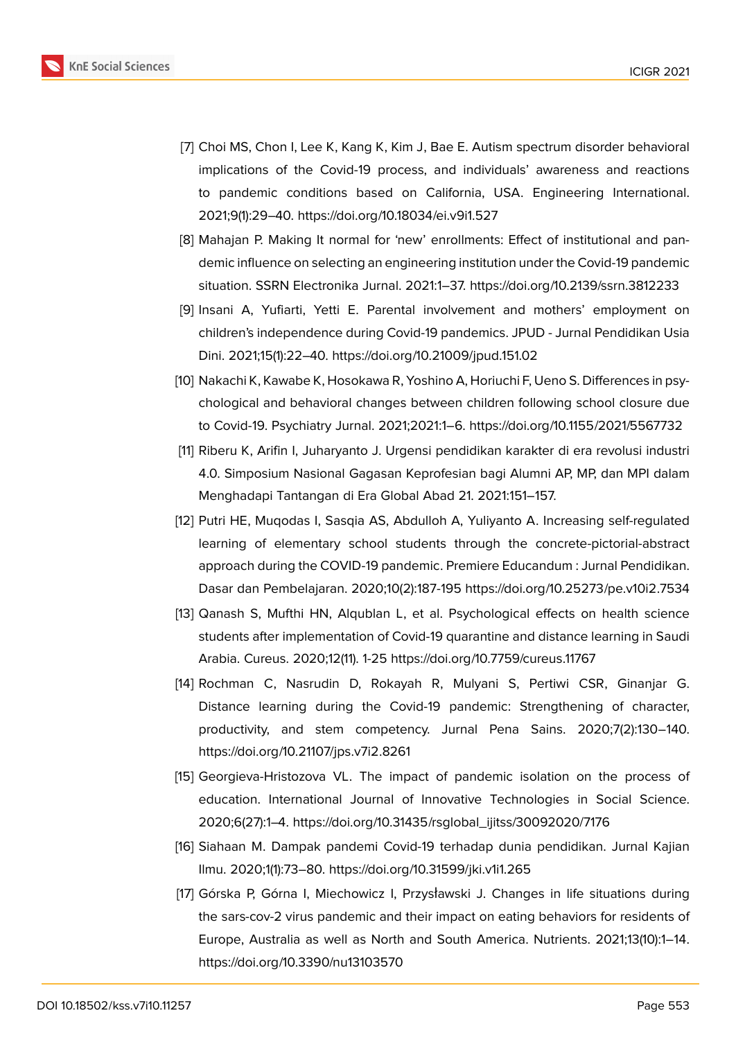

- <span id="page-7-0"></span>[7] Choi MS, Chon I, Lee K, Kang K, Kim J, Bae E. Autism spectrum disorder behavioral implications of the Covid-19 process, and individuals' awareness and reactions to pandemic conditions based on California, USA. Engineering International. 2021;9(1):29–40. https://doi.org/10.18034/ei.v9i1.527
- <span id="page-7-1"></span>[8] Mahajan P. Making It normal for 'new' enrollments: Effect of institutional and pandemic influence on selecting an engineering institution under the Covid-19 pandemic situation. SSRN Electronika Jurnal. 2021:1–37. https://doi.org/10.2139/ssrn.3812233
- <span id="page-7-2"></span>[9] Insani A, Yufiarti, Yetti E. Parental involvement and mothers' employment on children's independence during Covid-19 pandemics. JPUD - Jurnal Pendidikan Usia Dini. 2021;15(1):22–40. https://doi.org/10.21009/jpud.151.02
- <span id="page-7-3"></span>[10] Nakachi K, Kawabe K, Hosokawa R, Yoshino A, Horiuchi F, Ueno S. Differences in psychological and behavioral changes between children following school closure due to Covid-19. Psychiatry Jurnal. 2021;2021:1–6. https://doi.org/10.1155/2021/5567732
- [11] Riberu K, Arifin I, Juharyanto J. Urgensi pendidikan karakter di era revolusi industri 4.0. Simposium Nasional Gagasan Keprofesian bagi Alumni AP, MP, dan MPI dalam Menghadapi Tantangan di Era Global Abad 21. 2021:151–157.
- <span id="page-7-4"></span>[12] Putri HE, Muqodas I, Sasqia AS, Abdulloh A, Yuliyanto A. Increasing self-regulated learning of elementary school students through the concrete-pictorial-abstract approach during the COVID-19 pandemic. Premiere Educandum : Jurnal Pendidikan. Dasar dan Pembelajaran. 2020;10(2):187-195 https://doi.org/10.25273/pe.v10i2.7534
- <span id="page-7-5"></span>[13] Qanash S, Mufthi HN, Alqublan L, et al. Psychological effects on health science students after implementation of Covid-19 quarantine and distance learning in Saudi Arabia. Cureus. 2020;12(11). 1-25 https://doi.org/10.7759/cureus.11767
- <span id="page-7-6"></span>[14] Rochman C, Nasrudin D, Rokayah R, Mulyani S, Pertiwi CSR, Ginanjar G. Distance learning during the Covid-19 pandemic: Strengthening of character, productivity, and stem competency. Jurnal Pena Sains. 2020;7(2):130–140. https://doi.org/10.21107/jps.v7i2.8261
- <span id="page-7-7"></span>[15] Georgieva-Hristozova VL. The impact of pandemic isolation on the process of education. International Journal of Innovative Technologies in Social Science. 2020;6(27):1–4. https://doi.org/10.31435/rsglobal\_ijitss/30092020/7176
- <span id="page-7-8"></span>[16] Siahaan M. Dampak pandemi Covid-19 terhadap dunia pendidikan. Jurnal Kajian Ilmu. 2020;1(1):73–80. https://doi.org/10.31599/jki.v1i1.265
- [17] Górska P, Górna I, Miechowicz I, Przysławski J. Changes in life situations during the sars-cov-2 virus pandemic and their impact on eating behaviors for residents of Europe, Australia as well as North and South America. Nutrients. 2021;13(10):1–14. https://doi.org/10.3390/nu13103570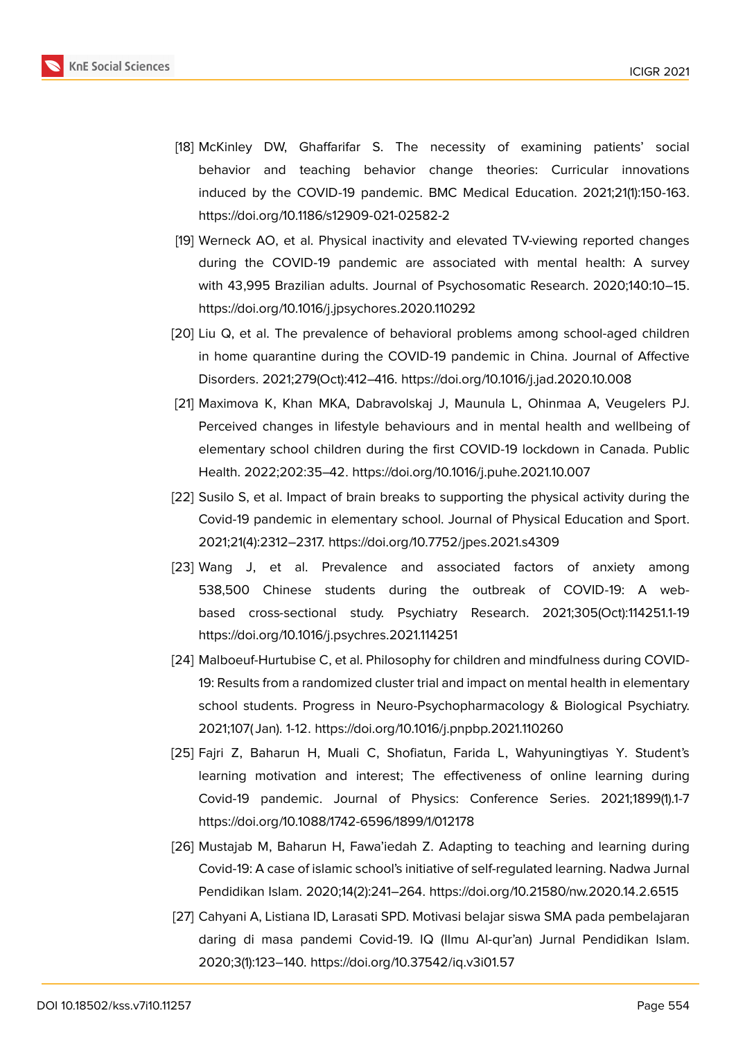

- <span id="page-8-0"></span>[18] McKinley DW, Ghaffarifar S. The necessity of examining patients' social behavior and teaching behavior change theories: Curricular innovations induced by the COVID-19 pandemic. BMC Medical Education. 2021;21(1):150-163. https://doi.org/10.1186/s12909-021-02582-2
- [19] Werneck AO, et al. Physical inactivity and elevated TV-viewing reported changes during the COVID-19 pandemic are associated with mental health: A survey with 43,995 Brazilian adults. Journal of Psychosomatic Research. 2020;140:10–15. https://doi.org/10.1016/j.jpsychores.2020.110292
- [20] Liu Q, et al. The prevalence of behavioral problems among school-aged children in home quarantine during the COVID-19 pandemic in China. Journal of Affective Disorders. 2021;279(Oct):412–416. https://doi.org/10.1016/j.jad.2020.10.008
- [21] Maximova K, Khan MKA, Dabravolskaj J, Maunula L, Ohinmaa A, Veugelers PJ. Perceived changes in lifestyle behaviours and in mental health and wellbeing of elementary school children during the first COVID-19 lockdown in Canada. Public Health. 2022;202:35–42. https://doi.org/10.1016/j.puhe.2021.10.007
- [22] Susilo S, et al. Impact of brain breaks to supporting the physical activity during the Covid-19 pandemic in elementary school. Journal of Physical Education and Sport. 2021;21(4):2312–2317. https://doi.org/10.7752/jpes.2021.s4309
- [23] Wang J, et al. Prevalence and associated factors of anxiety among 538,500 Chinese students during the outbreak of COVID-19: A webbased cross-sectional study. Psychiatry Research. 2021;305(Oct):114251.1-19 https://doi.org/10.1016/j.psychres.2021.114251
- [24] Malboeuf-Hurtubise C, et al. Philosophy for children and mindfulness during COVID-19: Results from a randomized cluster trial and impact on mental health in elementary school students. Progress in Neuro-Psychopharmacology & Biological Psychiatry. 2021;107( Jan). 1-12. https://doi.org/10.1016/j.pnpbp.2021.110260
- <span id="page-8-1"></span>[25] Fajri Z, Baharun H, Muali C, Shofiatun, Farida L, Wahyuningtiyas Y. Student's learning motivation and interest; The effectiveness of online learning during Covid-19 pandemic. Journal of Physics: Conference Series. 2021;1899(1).1-7 https://doi.org/10.1088/1742-6596/1899/1/012178
- <span id="page-8-2"></span>[26] Mustajab M, Baharun H, Fawa'iedah Z. Adapting to teaching and learning during Covid-19: A case of islamic school's initiative of self-regulated learning. Nadwa Jurnal Pendidikan Islam. 2020;14(2):241–264. https://doi.org/10.21580/nw.2020.14.2.6515
- <span id="page-8-3"></span>[27] Cahyani A, Listiana ID, Larasati SPD. Motivasi belajar siswa SMA pada pembelajaran daring di masa pandemi Covid-19. IQ (Ilmu Al-qur'an) Jurnal Pendidikan Islam. 2020;3(1):123–140. https://doi.org/10.37542/iq.v3i01.57